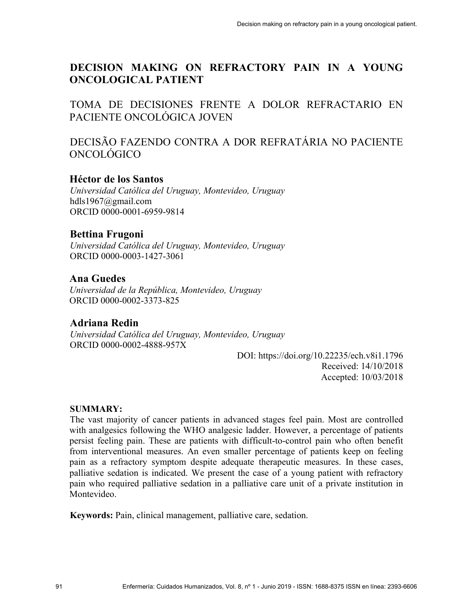# **DECISION MAKING ON REFRACTORY PAIN IN A YOUNG ONCOLOGICAL PATIENT**

TOMA DE DECISIONES FRENTE A DOLOR REFRACTARIO EN PACIENTE ONCOLÓGICA JOVEN

DECISÃO FAZENDO CONTRA A DOR REFRATÁRIA NO PACIENTE ONCOLÓGICO

# **Héctor de los Santos**

*Universidad Católica del Uruguay, Montevideo, Uruguay* hdls1967@gmail.com ORCID 0000-0001-6959-9814

# **Bettina Frugoni**

*Universidad Católica del Uruguay, Montevideo, Uruguay* ORCID 0000-0003-1427-3061

# **Ana Guedes**

*Universidad de la República, Montevideo, Uruguay* ORCID 0000-0002-3373-825

# **Adriana Redin**

*Universidad Católica del Uruguay, Montevideo, Uruguay* ORCID 0000-0002-4888-957X

> DOI: https://doi.org/10.22235/ech.v8i1.1796 Received: 14/10/2018 Accepted: 10/03/2018

### **SUMMARY:**

The vast majority of cancer patients in advanced stages feel pain. Most are controlled with analgesics following the WHO analgesic ladder. However, a percentage of patients persist feeling pain. These are patients with difficult-to-control pain who often benefit from interventional measures. An even smaller percentage of patients keep on feeling pain as a refractory symptom despite adequate therapeutic measures. In these cases, palliative sedation is indicated. We present the case of a young patient with refractory pain who required palliative sedation in a palliative care unit of a private institution in Montevideo.

**Keywords:** Pain, clinical management, palliative care, sedation.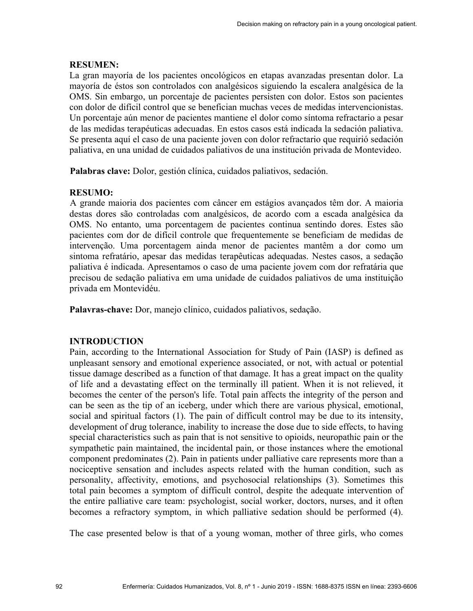#### **RESUMEN:**

La gran mayoría de los pacientes oncológicos en etapas avanzadas presentan dolor. La mayoría de éstos son controlados con analgésicos siguiendo la escalera analgésica de la OMS. Sin embargo, un porcentaje de pacientes persisten con dolor. Estos son pacientes con dolor de difícil control que se benefician muchas veces de medidas intervencionistas. Un porcentaje aún menor de pacientes mantiene el dolor como síntoma refractario a pesar de las medidas terapéuticas adecuadas. En estos casos está indicada la sedación paliativa. Se presenta aquí el caso de una paciente joven con dolor refractario que requirió sedación paliativa, en una unidad de cuidados paliativos de una institución privada de Montevideo.

**Palabras clave:** Dolor, gestión clínica, cuidados paliativos, sedación.

#### **RESUMO:**

A grande maioria dos pacientes com câncer em estágios avançados têm dor. A maioria destas dores são controladas com analgésicos, de acordo com a escada analgésica da OMS. No entanto, uma porcentagem de pacientes continua sentindo dores. Estes são pacientes com dor de difícil controle que frequentemente se beneficiam de medidas de intervenção. Uma porcentagem ainda menor de pacientes mantêm a dor como um sintoma refratário, apesar das medidas terapêuticas adequadas. Nestes casos, a sedação paliativa é indicada. Apresentamos o caso de uma paciente jovem com dor refratária que precisou de sedação paliativa em uma unidade de cuidados paliativos de uma instituição privada em Montevidéu.

**Palavras-chave:** Dor, manejo clínico, cuidados paliativos, sedação.

### **INTRODUCTION**

Pain, according to the International Association for Study of Pain (IASP) is defined as unpleasant sensory and emotional experience associated, or not, with actual or potential tissue damage described as a function of that damage. It has a great impact on the quality of life and a devastating effect on the terminally ill patient. When it is not relieved, it becomes the center of the person's life. Total pain affects the integrity of the person and can be seen as the tip of an iceberg, under which there are various physical, emotional, social and spiritual factors (1). The pain of difficult control may be due to its intensity, development of drug tolerance, inability to increase the dose due to side effects, to having special characteristics such as pain that is not sensitive to opioids, neuropathic pain or the sympathetic pain maintained, the incidental pain, or those instances where the emotional component predominates (2). Pain in patients under palliative care represents more than a nociceptive sensation and includes aspects related with the human condition, such as personality, affectivity, emotions, and psychosocial relationships (3). Sometimes this total pain becomes a symptom of difficult control, despite the adequate intervention of the entire palliative care team: psychologist, social worker, doctors, nurses, and it often becomes a refractory symptom, in which palliative sedation should be performed (4).

The case presented below is that of a young woman, mother of three girls, who comes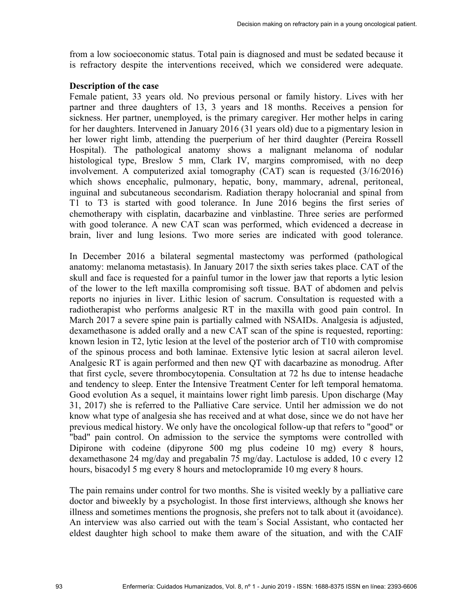from a low socioeconomic status. Total pain is diagnosed and must be sedated because it is refractory despite the interventions received, which we considered were adequate.

### **Description of the case**

Female patient, 33 years old. No previous personal or family history. Lives with her partner and three daughters of 13, 3 years and 18 months. Receives a pension for sickness. Her partner, unemployed, is the primary caregiver. Her mother helps in caring for her daughters. Intervened in January 2016 (31 years old) due to a pigmentary lesion in her lower right limb, attending the puerperium of her third daughter (Pereira Rossell Hospital). The pathological anatomy shows a malignant melanoma of nodular histological type, Breslow 5 mm, Clark IV, margins compromised, with no deep involvement. A computerized axial tomography (CAT) scan is requested (3/16/2016) which shows encephalic, pulmonary, hepatic, bony, mammary, adrenal, peritoneal, inguinal and subcutaneous secondarism. Radiation therapy holocranial and spinal from T1 to T3 is started with good tolerance. In June 2016 begins the first series of chemotherapy with cisplatin, dacarbazine and vinblastine. Three series are performed with good tolerance. A new CAT scan was performed, which evidenced a decrease in brain, liver and lung lesions. Two more series are indicated with good tolerance.

In December 2016 a bilateral segmental mastectomy was performed (pathological anatomy: melanoma metastasis). In January 2017 the sixth series takes place. CAT of the skull and face is requested for a painful tumor in the lower jaw that reports a lytic lesion of the lower to the left maxilla compromising soft tissue. BAT of abdomen and pelvis reports no injuries in liver. Lithic lesion of sacrum. Consultation is requested with a radiotherapist who performs analgesic RT in the maxilla with good pain control. In March 2017 a severe spine pain is partially calmed with NSAIDs. Analgesia is adjusted, dexamethasone is added orally and a new CAT scan of the spine is requested, reporting: known lesion in T2, lytic lesion at the level of the posterior arch of T10 with compromise of the spinous process and both laminae. Extensive lytic lesion at sacral aileron level. Analgesic RT is again performed and then new QT with dacarbazine as monodrug. After that first cycle, severe thrombocytopenia. Consultation at 72 hs due to intense headache and tendency to sleep. Enter the Intensive Treatment Center for left temporal hematoma. Good evolution As a sequel, it maintains lower right limb paresis. Upon discharge (May 31, 2017) she is referred to the Palliative Care service. Until her admission we do not know what type of analgesia she has received and at what dose, since we do not have her previous medical history. We only have the oncological follow-up that refers to "good" or "bad" pain control. On admission to the service the symptoms were controlled with Dipirone with codeine (dipyrone 500 mg plus codeine 10 mg) every 8 hours, dexamethasone 24 mg/day and pregabalin 75 mg/day. Lactulose is added, 10 c every 12 hours, bisacodyl 5 mg every 8 hours and metoclopramide 10 mg every 8 hours.

The pain remains under control for two months. She is visited weekly by a palliative care doctor and biweekly by a psychologist. In those first interviews, although she knows her illness and sometimes mentions the prognosis, she prefers not to talk about it (avoidance). An interview was also carried out with the team´s Social Assistant, who contacted her eldest daughter high school to make them aware of the situation, and with the CAIF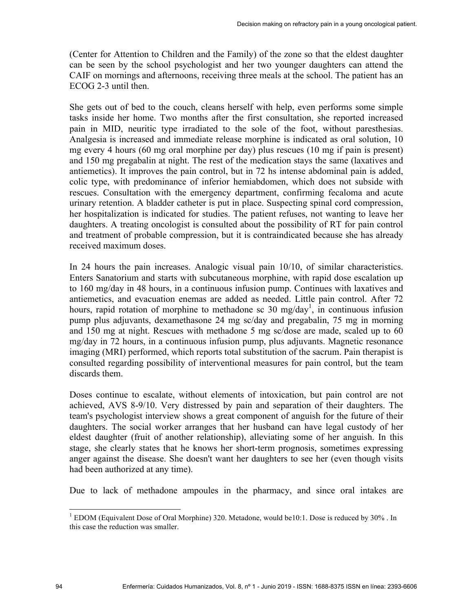(Center for Attention to Children and the Family) of the zone so that the eldest daughter can be seen by the school psychologist and her two younger daughters can attend the CAIF on mornings and afternoons, receiving three meals at the school. The patient has an ECOG 2-3 until then.

She gets out of bed to the couch, cleans herself with help, even performs some simple tasks inside her home. Two months after the first consultation, she reported increased pain in MID, neuritic type irradiated to the sole of the foot, without paresthesias. Analgesia is increased and immediate release morphine is indicated as oral solution, 10 mg every 4 hours (60 mg oral morphine per day) plus rescues (10 mg if pain is present) and 150 mg pregabalin at night. The rest of the medication stays the same (laxatives and antiemetics). It improves the pain control, but in 72 hs intense abdominal pain is added, colic type, with predominance of inferior hemiabdomen, which does not subside with rescues. Consultation with the emergency department, confirming fecaloma and acute urinary retention. A bladder catheter is put in place. Suspecting spinal cord compression, her hospitalization is indicated for studies. The patient refuses, not wanting to leave her daughters. A treating oncologist is consulted about the possibility of RT for pain control and treatment of probable compression, but it is contraindicated because she has already received maximum doses.

In 24 hours the pain increases. Analogic visual pain 10/10, of similar characteristics. Enters Sanatorium and starts with subcutaneous morphine, with rapid dose escalation up to 160 mg/day in 48 hours, in a continuous infusion pump. Continues with laxatives and antiemetics, and evacuation enemas are added as needed. Little pain control. After 72 hours, rapid rotation of morphine to methadone sc 30 mg/day<sup>1</sup>, in continuous infusion pump plus adjuvants, dexamethasone 24 mg sc/day and pregabalin, 75 mg in morning and 150 mg at night. Rescues with methadone 5 mg sc/dose are made, scaled up to 60 mg/day in 72 hours, in a continuous infusion pump, plus adjuvants. Magnetic resonance imaging (MRI) performed, which reports total substitution of the sacrum. Pain therapist is consulted regarding possibility of interventional measures for pain control, but the team discards them.

Doses continue to escalate, without elements of intoxication, but pain control are not achieved, AVS 8-9/10. Very distressed by pain and separation of their daughters. The team's psychologist interview shows a great component of anguish for the future of their daughters. The social worker arranges that her husband can have legal custody of her eldest daughter (fruit of another relationship), alleviating some of her anguish. In this stage, she clearly states that he knows her short-term prognosis, sometimes expressing anger against the disease. She doesn't want her daughters to see her (even though visits had been authorized at any time).

Due to lack of methadone ampoules in the pharmacy, and since oral intakes are

 $1$  EDOM (Equivalent Dose of Oral Morphine) 320. Metadone, would be10:1. Dose is reduced by 30%. In this case the reduction was smaller.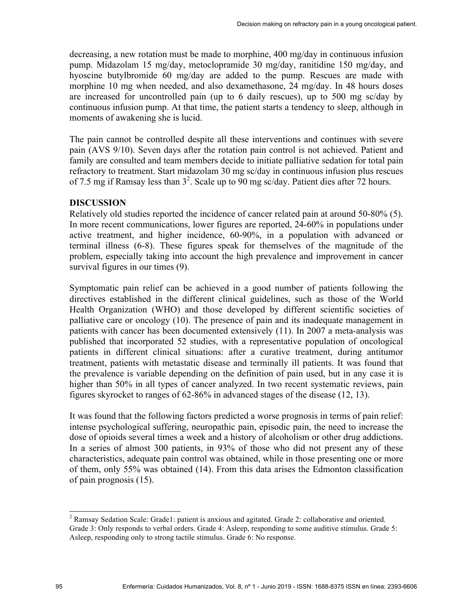decreasing, a new rotation must be made to morphine, 400 mg/day in continuous infusion pump. Midazolam 15 mg/day, metoclopramide 30 mg/day, ranitidine 150 mg/day, and hyoscine butylbromide 60 mg/day are added to the pump. Rescues are made with morphine 10 mg when needed, and also dexamethasone, 24 mg/day. In 48 hours doses are increased for uncontrolled pain (up to 6 daily rescues), up to 500 mg sc/day by continuous infusion pump. At that time, the patient starts a tendency to sleep, although in moments of awakening she is lucid.

The pain cannot be controlled despite all these interventions and continues with severe pain (AVS 9/10). Seven days after the rotation pain control is not achieved. Patient and family are consulted and team members decide to initiate palliative sedation for total pain refractory to treatment. Start midazolam 30 mg sc/day in continuous infusion plus rescues of 7.5 mg if Ramsay less than  $3^2$ . Scale up to 90 mg sc/day. Patient dies after 72 hours.

#### **DISCUSSION**

Relatively old studies reported the incidence of cancer related pain at around 50-80% (5). In more recent communications, lower figures are reported, 24-60% in populations under active treatment, and higher incidence, 60-90%, in a population with advanced or terminal illness (6-8). These figures speak for themselves of the magnitude of the problem, especially taking into account the high prevalence and improvement in cancer survival figures in our times (9).

Symptomatic pain relief can be achieved in a good number of patients following the directives established in the different clinical guidelines, such as those of the World Health Organization (WHO) and those developed by different scientific societies of palliative care or oncology (10). The presence of pain and its inadequate management in patients with cancer has been documented extensively (11). In 2007 a meta-analysis was published that incorporated 52 studies, with a representative population of oncological patients in different clinical situations: after a curative treatment, during antitumor treatment, patients with metastatic disease and terminally ill patients. It was found that the prevalence is variable depending on the definition of pain used, but in any case it is higher than 50% in all types of cancer analyzed. In two recent systematic reviews, pain figures skyrocket to ranges of 62-86% in advanced stages of the disease (12, 13).

It was found that the following factors predicted a worse prognosis in terms of pain relief: intense psychological suffering, neuropathic pain, episodic pain, the need to increase the dose of opioids several times a week and a history of alcoholism or other drug addictions. In a series of almost 300 patients, in 93% of those who did not present any of these characteristics, adequate pain control was obtained, while in those presenting one or more of them, only 55% was obtained (14). From this data arises the Edmonton classification of pain prognosis (15).

<sup>&</sup>lt;sup>2</sup> Ramsay Sedation Scale: Grade1: patient is anxious and agitated. Grade 2: collaborative and oriented. Grade 3: Only responds to verbal orders. Grade 4: Asleep, responding to some auditive stimulus. Grade 5: Asleep, responding only to strong tactile stimulus. Grade 6: No response.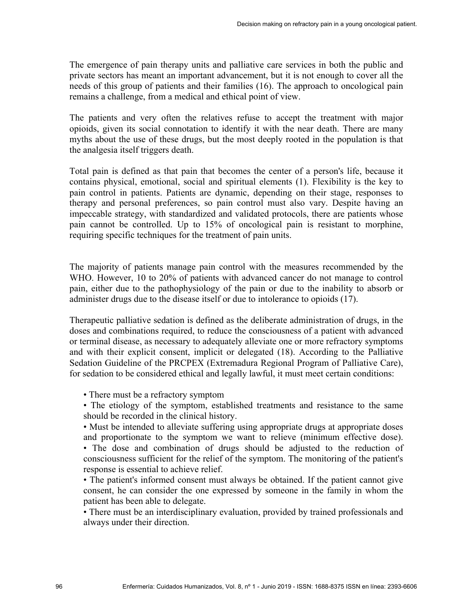The emergence of pain therapy units and palliative care services in both the public and private sectors has meant an important advancement, but it is not enough to cover all the needs of this group of patients and their families (16). The approach to oncological pain remains a challenge, from a medical and ethical point of view.

The patients and very often the relatives refuse to accept the treatment with major opioids, given its social connotation to identify it with the near death. There are many myths about the use of these drugs, but the most deeply rooted in the population is that the analgesia itself triggers death.

Total pain is defined as that pain that becomes the center of a person's life, because it contains physical, emotional, social and spiritual elements (1). Flexibility is the key to pain control in patients. Patients are dynamic, depending on their stage, responses to therapy and personal preferences, so pain control must also vary. Despite having an impeccable strategy, with standardized and validated protocols, there are patients whose pain cannot be controlled. Up to 15% of oncological pain is resistant to morphine, requiring specific techniques for the treatment of pain units.

The majority of patients manage pain control with the measures recommended by the WHO. However, 10 to 20% of patients with advanced cancer do not manage to control pain, either due to the pathophysiology of the pain or due to the inability to absorb or administer drugs due to the disease itself or due to intolerance to opioids (17).

Therapeutic palliative sedation is defined as the deliberate administration of drugs, in the doses and combinations required, to reduce the consciousness of a patient with advanced or terminal disease, as necessary to adequately alleviate one or more refractory symptoms and with their explicit consent, implicit or delegated (18). According to the Palliative Sedation Guideline of the PRCPEX (Extremadura Regional Program of Palliative Care), for sedation to be considered ethical and legally lawful, it must meet certain conditions:

- There must be a refractory symptom
- The etiology of the symptom, established treatments and resistance to the same should be recorded in the clinical history.

• Must be intended to alleviate suffering using appropriate drugs at appropriate doses and proportionate to the symptom we want to relieve (minimum effective dose).

• The dose and combination of drugs should be adjusted to the reduction of consciousness sufficient for the relief of the symptom. The monitoring of the patient's response is essential to achieve relief.

• The patient's informed consent must always be obtained. If the patient cannot give consent, he can consider the one expressed by someone in the family in whom the patient has been able to delegate.

• There must be an interdisciplinary evaluation, provided by trained professionals and always under their direction.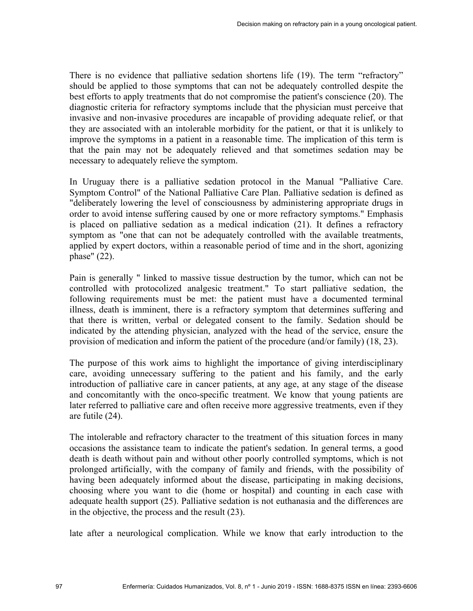There is no evidence that palliative sedation shortens life (19). The term "refractory" should be applied to those symptoms that can not be adequately controlled despite the best efforts to apply treatments that do not compromise the patient's conscience (20). The diagnostic criteria for refractory symptoms include that the physician must perceive that invasive and non-invasive procedures are incapable of providing adequate relief, or that they are associated with an intolerable morbidity for the patient, or that it is unlikely to improve the symptoms in a patient in a reasonable time. The implication of this term is that the pain may not be adequately relieved and that sometimes sedation may be necessary to adequately relieve the symptom.

In Uruguay there is a palliative sedation protocol in the Manual "Palliative Care. Symptom Control" of the National Palliative Care Plan. Palliative sedation is defined as "deliberately lowering the level of consciousness by administering appropriate drugs in order to avoid intense suffering caused by one or more refractory symptoms." Emphasis is placed on palliative sedation as a medical indication (21). It defines a refractory symptom as "one that can not be adequately controlled with the available treatments, applied by expert doctors, within a reasonable period of time and in the short, agonizing phase" (22).

Pain is generally " linked to massive tissue destruction by the tumor, which can not be controlled with protocolized analgesic treatment." To start palliative sedation, the following requirements must be met: the patient must have a documented terminal illness, death is imminent, there is a refractory symptom that determines suffering and that there is written, verbal or delegated consent to the family. Sedation should be indicated by the attending physician, analyzed with the head of the service, ensure the provision of medication and inform the patient of the procedure (and/or family) (18, 23).

The purpose of this work aims to highlight the importance of giving interdisciplinary care, avoiding unnecessary suffering to the patient and his family, and the early introduction of palliative care in cancer patients, at any age, at any stage of the disease and concomitantly with the onco-specific treatment. We know that young patients are later referred to palliative care and often receive more aggressive treatments, even if they are futile (24).

The intolerable and refractory character to the treatment of this situation forces in many occasions the assistance team to indicate the patient's sedation. In general terms, a good death is death without pain and without other poorly controlled symptoms, which is not prolonged artificially, with the company of family and friends, with the possibility of having been adequately informed about the disease, participating in making decisions, choosing where you want to die (home or hospital) and counting in each case with adequate health support (25). Palliative sedation is not euthanasia and the differences are in the objective, the process and the result (23).

late after a neurological complication. While we know that early introduction to the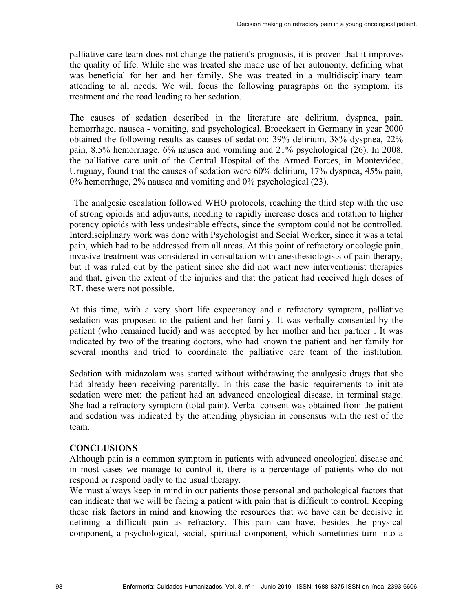palliative care team does not change the patient's prognosis, it is proven that it improves the quality of life. While she was treated she made use of her autonomy, defining what was beneficial for her and her family. She was treated in a multidisciplinary team attending to all needs. We will focus the following paragraphs on the symptom, its treatment and the road leading to her sedation.

The causes of sedation described in the literature are delirium, dyspnea, pain, hemorrhage, nausea - vomiting, and psychological. Broeckaert in Germany in year 2000 obtained the following results as causes of sedation: 39% delirium, 38% dyspnea, 22% pain, 8.5% hemorrhage, 6% nausea and vomiting and 21% psychological (26). In 2008, the palliative care unit of the Central Hospital of the Armed Forces, in Montevideo, Uruguay, found that the causes of sedation were 60% delirium, 17% dyspnea, 45% pain, 0% hemorrhage, 2% nausea and vomiting and 0% psychological (23).

 The analgesic escalation followed WHO protocols, reaching the third step with the use of strong opioids and adjuvants, needing to rapidly increase doses and rotation to higher potency opioids with less undesirable effects, since the symptom could not be controlled. Interdisciplinary work was done with Psychologist and Social Worker, since it was a total pain, which had to be addressed from all areas. At this point of refractory oncologic pain, invasive treatment was considered in consultation with anesthesiologists of pain therapy, but it was ruled out by the patient since she did not want new interventionist therapies and that, given the extent of the injuries and that the patient had received high doses of RT, these were not possible.

At this time, with a very short life expectancy and a refractory symptom, palliative sedation was proposed to the patient and her family. It was verbally consented by the patient (who remained lucid) and was accepted by her mother and her partner . It was indicated by two of the treating doctors, who had known the patient and her family for several months and tried to coordinate the palliative care team of the institution.

Sedation with midazolam was started without withdrawing the analgesic drugs that she had already been receiving parentally. In this case the basic requirements to initiate sedation were met: the patient had an advanced oncological disease, in terminal stage. She had a refractory symptom (total pain). Verbal consent was obtained from the patient and sedation was indicated by the attending physician in consensus with the rest of the team.

#### **CONCLUSIONS**

Although pain is a common symptom in patients with advanced oncological disease and in most cases we manage to control it, there is a percentage of patients who do not respond or respond badly to the usual therapy.

We must always keep in mind in our patients those personal and pathological factors that can indicate that we will be facing a patient with pain that is difficult to control. Keeping these risk factors in mind and knowing the resources that we have can be decisive in defining a difficult pain as refractory. This pain can have, besides the physical component, a psychological, social, spiritual component, which sometimes turn into a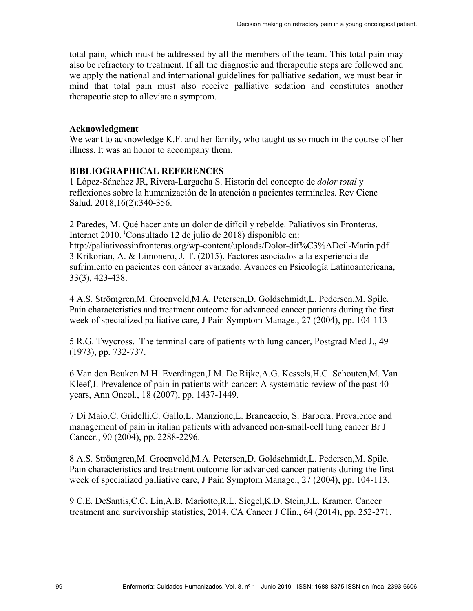total pain, which must be addressed by all the members of the team. This total pain may also be refractory to treatment. If all the diagnostic and therapeutic steps are followed and we apply the national and international guidelines for palliative sedation, we must bear in mind that total pain must also receive palliative sedation and constitutes another therapeutic step to alleviate a symptom.

#### **Acknowledgment**

We want to acknowledge K.F. and her family, who taught us so much in the course of her illness. It was an honor to accompany them.

### **BIBLIOGRAPHICAL REFERENCES**

1 López-Sánchez JR, Rivera-Largacha S. Historia del concepto de *dolor total* y reflexiones sobre la humanización de la atención a pacientes terminales. Rev Cienc Salud. 2018;16(2):340-356.

2 Paredes, M. Qué hacer ante un dolor de difícil y rebelde. Paliativos sin Fronteras. Internet 2010. ( Consultado 12 de julio de 2018) disponible en: http://paliativossinfronteras.org/wp-content/uploads/Dolor-dif%C3%ADcil-Marin.pdf 3 Krikorian, A. & Limonero, J. T. (2015). Factores asociados a la experiencia de sufrimiento en pacientes con cáncer avanzado. Avances en Psicología Latinoamericana, 33(3), 423-438.

4 A.S. Strömgren,M. Groenvold,M.A. Petersen,D. Goldschmidt,L. Pedersen,M. Spile. Pain characteristics and treatment outcome for advanced cancer patients during the first week of specialized palliative care, J Pain Symptom Manage., 27 (2004), pp. 104-113

5 R.G. Twycross. The terminal care of patients with lung cáncer, Postgrad Med J., 49 (1973), pp. 732-737.

6 Van den Beuken M.H. Everdingen,J.M. De Rijke,A.G. Kessels,H.C. Schouten,M. Van Kleef,J. Prevalence of pain in patients with cancer: A systematic review of the past 40 years, Ann Oncol., 18 (2007), pp. 1437-1449.

7 Di Maio,C. Gridelli,C. Gallo,L. Manzione,L. Brancaccio, S. Barbera. Prevalence and management of pain in italian patients with advanced non-small-cell lung cancer Br J Cancer., 90 (2004), pp. 2288-2296.

8 A.S. Strömgren,M. Groenvold,M.A. Petersen,D. Goldschmidt,L. Pedersen,M. Spile. Pain characteristics and treatment outcome for advanced cancer patients during the first week of specialized palliative care, J Pain Symptom Manage., 27 (2004), pp. 104-113.

9 C.E. DeSantis,C.C. Lin,A.B. Mariotto,R.L. Siegel,K.D. Stein,J.L. Kramer. Cancer treatment and survivorship statistics, 2014, CA Cancer J Clin., 64 (2014), pp. 252-271.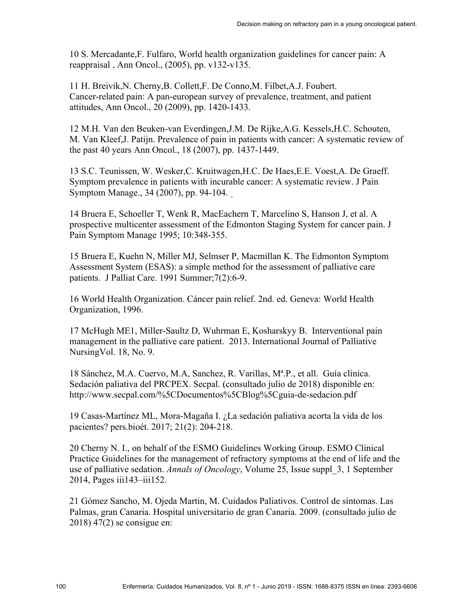10 S. Mercadante,F. Fulfaro, World health organization guidelines for cancer pain: A reappraisal , Ann Oncol., (2005), pp. v132-v135.

11 H. Breivik,N. Cherny,B. Collett,F. De Conno,M. Filbet,A.J. Foubert. Cancer-related pain: A pan-european survey of prevalence, treatment, and patient attitudes, Ann Oncol., 20 (2009), pp. 1420-1433.

12 M.H. Van den Beuken-van Everdingen,J.M. De Rijke,A.G. Kessels,H.C. Schouten, M. Van Kleef,J. Patijn. Prevalence of pain in patients with cancer: A systematic review of the past 40 years Ann Oncol., 18 (2007), pp. 1437-1449.

13 S.C. Teunissen, W. Wesker,C. Kruitwagen,H.C. De Haes,E.E. Voest,A. De Graeff. Symptom prevalence in patients with incurable cancer: A systematic review. J Pain Symptom Manage., 34 (2007), pp. 94-104.

14 Bruera E, Schoeller T, Wenk R, MacEachern T, Marcelino S, Hanson J, et al. A prospective multicenter assessment of the Edmonton Staging System for cancer pain. J Pain Symptom Manage 1995; 10:348-355.

15 Bruera E, Kuehn N, Miller MJ, Selmser P, Macmillan K. The Edmonton Symptom Assessment System (ESAS): a simple method for the assessment of palliative care patients. J Palliat Care. 1991 Summer;7(2):6-9.

16 World Health Organization. Cáncer pain relief. 2nd. ed. Geneva: World Health Organization, 1996.

17 McHugh ME1, Miller-Saultz D, Wuhrman E, Kosharskyy B. Interventional pain management in the palliative care patient. 2013. International Journal of Palliative NursingVol. 18, No. 9.

18 Sánchez, M.A. Cuervo, M.A, Sanchez, R. Varillas, Mª.P., et all. Guía clínica. Sedación paliativa del PRCPEX. Secpal. (consultado julio de 2018) disponible en: http://www.secpal.com/%5CDocumentos%5CBlog%5Cguia-de-sedacion.pdf

19 Casas-Martínez ML, Mora-Magaña I. ¿La sedación paliativa acorta la vida de los pacientes? pers.bioét. 2017; 21(2): 204-218.

20 Cherny N. I., on behalf of the ESMO Guidelines Working Group. ESMO Clinical Practice Guidelines for the management of refractory symptoms at the end of life and the use of palliative sedation. *Annals of Oncology*, Volume 25, Issue suppl\_3, 1 September 2014, Pages iii143–iii152.

21 Gómez Sancho, M. Ojeda Martin, M. Cuidados Paliativos. Control de síntomas. Las Palmas, gran Canaria. Hospital universitario de gran Canaria. 2009. (consultado julio de 2018) 47(2) se consigue en: